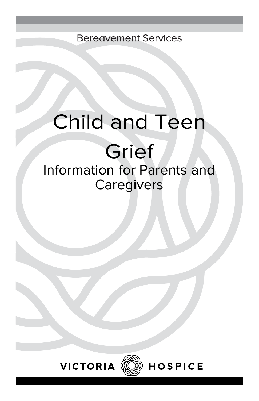Bereavement Services

## Child and Teen

# Grief

### Information for Parents and **Caregivers**





**HOSPICE**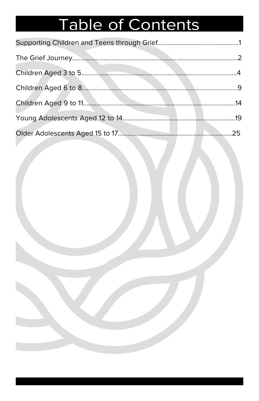## Table of Contents

| 25. |
|-----|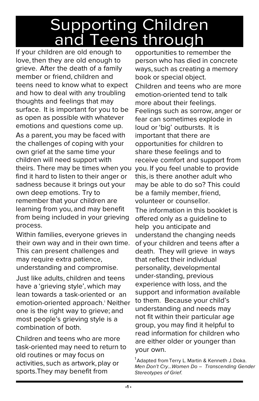### Supporting Children and Teens through

If your children are old enough to love, then they are old enough to grieve. After the death of a family member or friend, children and teens need to know what to expect and how to deal with any troubling thoughts and feelings that may surface. It is important for you to be as open as possible with whatever emotions and questions come up. As a parent, you may be faced with the challenges of coping with your own grief at the same time your children will need support with theirs. There may be times when you find it hard to listen to their anger or sadness because it brings out your own deep emotions. Try to remember that your children are learning from you, and may benefit from being included in your grieving process.

Within families, everyone grieves in their own way and in their own time. This can present challenges and may require extra patience, understanding and compromise.

Just like adults, children and teens have a 'grieving style', which may lean towards a task-oriented or an emotion-oriented approach.<sup>1</sup> Neither one is the right way to grieve; and most people's grieving style is a combination of both.

Children and teens who are more task-oriented may need to return to old routines or may focus on activities, such as artwork, play or sports. They may benefit from

opportunities to remember the person who has died in concrete ways, such as creating a memory book or special object.

Children and teens who are more emotion-oriented tend to talk more about their feelings. Feelings such as sorrow, anger or fear can sometimes explode in loud or 'big' outbursts. It is important that there are opportunities for children to share these feelings and to receive comfort and support from you. If you feel unable to provide this, is there another adult who may be able to do so? This could be a family member, friend, volunteer or counsellor.

The information in this booklet is offered only as a guideline to help you anticipate and understand the changing needs of your children and teens after a death. They will grieve in ways that reflect their individual personality, developmental under-standing, previous experience with loss, and the support and information available to them. Because your child's understanding and needs may not fit within their particular age group, you may find it helpful to read information for children who are either older or younger than your own.

<sup>1</sup>Adapted from Terry L. Martin & Kenneth J. Doka. Men Don't Cry…Women Do – Transcending Gender Stereotypes of Grief.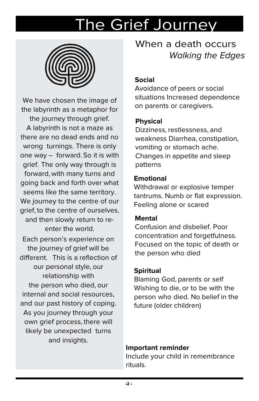### The Grief Journey



We have chosen the image of the labyrinth as a metaphor for the journey through grief. A labyrinth is not a maze as there are no dead ends and no wrong turnings. There is only one way – forward. So it is with grief. The only way through is forward, with many turns and going back and forth over what seems like the same territory. We journey to the centre of our grief, to the centre of ourselves, and then slowly return to reenter the world.

Each person's experience on the journey of grief will be different. This is a reflection of our personal style, our relationship with the person who died, our internal and social resources, and our past history of coping. As you journey through your own grief process, there will likely be unexpected turns and insights.

When a death occurs Walking the Edges

#### **Social**

Avoidance of peers or social situations Increased dependence on parents or caregivers.

#### **Physical**

Dizziness, restlessness, and weakness Diarrhea, constipation, vomiting or stomach ache. Changes in appetite and sleep patterns

#### **Emotional**

Withdrawal or explosive temper tantrums. Numb or flat expression. Feeling alone or scared

#### **Mental**

Confusion and disbelief. Poor concentration and forgetfulness. Focused on the topic of death or the person who died

#### **Spiritual**

Blaming God, parents or self Wishing to die, or to be with the person who died. No belief in the future (older children)

#### **Important reminder**

Include your child in remembrance rituals.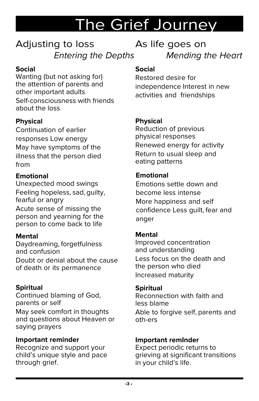### The Grief Journey

### Adjusting to loss Entering the Depths

#### **Social**

Wanting (but not asking for) the attention of parents and other important adults Self-consciousness with friends about the loss

### **Physical**

Continuation of earlier responses Low energy May have symptoms of the illness that the person died from

#### **Emotional**

Unexpected mood swings Feeling hopeless, sad, guilty, fearful or angry Acute sense of missing the person and yearning for the person to come back to life

#### **Mental**

Daydreaming, forgetfulness and confusion Doubt or denial about the cause of death or its permanence

#### **Spiritual**

Continued blaming of God, parents or self May seek comfort in thoughts and questions about Heaven or saying prayers

#### **Important reminder**

Recognize and support your child's unique style and pace through grief.

As life goes on Mending the Heart

#### **Social**

Restored desire for independence Interest in new activities and friendships

#### **Physical**

Reduction of previous physical responses Renewed energy for activity Return to usual sleep and eating patterns

#### **Emotional**

Emotions settle down and become less intense More happiness and self confidence Less guilt, fear and anger

#### **Mental**

Improved concentration and understanding Less focus on the death and the person who died Increased maturity

#### **Spiritual**

Reconnection with faith and less blame Able to forgive self, parents and oth-ers

#### **Important remInder**

Expect periodic returns to grieving at significant transitions in your child's life.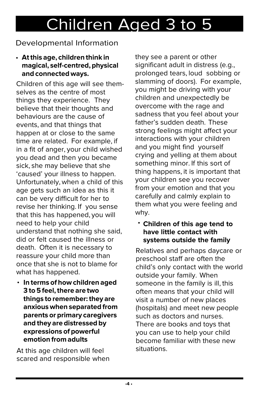### Developmental Information

#### • **At this age, children think in magical, self-centred, physical and connected ways.**

Children of this age will see themselves as the centre of most things they experience. They believe that their thoughts and behaviours are the cause of events, and that things that happen at or close to the same time are related. For example, if in a fit of anger, your child wished you dead and then you became sick, she may believe that she 'caused' your illness to happen. Unfortunately, when a child of this age gets such an idea as this it can be very difficult for her to revise her thinking. If you sense that this has happened, you will need to help your child understand that nothing she said, did or felt caused the illness or death. Often it is necessary to reassure your child more than once that she is not to blame for what has happened.

**In terms of how children aged**  • **3 to 5 feel, there are two things to remember: they are anxious when separated from parents or primary caregivers and they are distressed by expressions of powerful emotion from adults**

At this age children will feel scared and responsible when they see a parent or other significant adult in distress (e.g., prolonged tears, loud sobbing or slamming of doors). For example, you might be driving with your children and unexpectedly be overcome with the rage and sadness that you feel about your father's sudden death. These strong feelings might affect your interactions with your children and you might find yourself crying and yelling at them about something minor. If this sort of thing happens, it is important that your children see you recover from your emotion and that you carefully and calmly explain to them what you were feeling and why.

#### **Children of this age tend to**  •**have little contact with systems outside the family**

Relatives and perhaps daycare or preschool staff are often the child's only contact with the world outside your family. When someone in the family is ill, this often means that your child will visit a number of new places (hospitals) and meet new people such as doctors and nurses. There are books and toys that you can use to help your child become familiar with these new situations.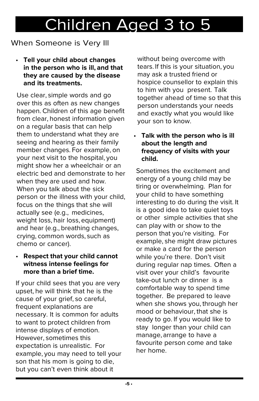### When Someone is Very Ill

• **Tell your child about changes in the person who is ill, and that they are caused by the disease and its treatments.**

Use clear, simple words and go over this as often as new changes happen. Children of this age benefit from clear, honest information given on a regular basis that can help them to understand what they are seeing and hearing as their family member changes. For example, on your next visit to the hospital, you might show her a wheelchair or an electric bed and demonstrate to her when they are used and how. When you talk about the sick person or the illness with your child, focus on the things that she will actually see (e.g., medicines, weight loss, hair loss, equipment) and hear (e.g., breathing changes, crying, common words, such as chemo or cancer).

#### • **Respect that your child cannot witness intense feelings for more than a brief time.**

If your child sees that you are very upset, he will think that he is the cause of your grief, so careful, frequent explanations are necessary. It is common for adults to want to protect children from intense displays of emotion. However, sometimes this expectation is unrealistic. For example, you may need to tell your son that his mom is going to die, but you can't even think about it

without being overcome with tears. If this is your situation, you may ask a trusted friend or hospice counsellor to explain this to him with you present. Talk together ahead of time so that this person understands your needs and exactly what you would like your son to know.

#### • **Talk with the person who is ill about the length and frequency of visits with your child.**

Sometimes the excitement and energy of a young child may be tiring or overwhelming. Plan for your child to have something interesting to do during the visit. It is a good idea to take quiet toys or other simple activities that she can play with or show to the person that you're visiting. For example, she might draw pictures or make a card for the person while you're there. Don't visit during regular nap times. Often a visit over your child's favourite take-out lunch or dinner is a comfortable way to spend time together. Be prepared to leave when she shows you, through her mood or behaviour, that she is ready to go. If you would like to stay longer than your child can manage, arrange to have a favourite person come and take her home.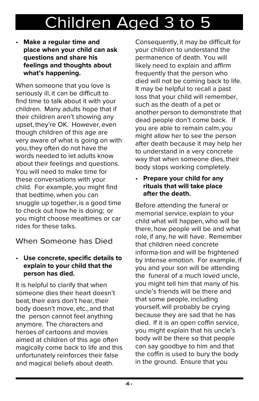• **Make a regular time and place when your child can ask questions and share his feelings and thoughts about what's happening.**

When someone that you love is seriously ill, it can be difficult to find time to talk about it with your children. Many adults hope that if their children aren't showing any upset, they're OK. However, even though children of this age are very aware of what is going on with you, they often do not have the words needed to let adults know about their feelings and questions. You will need to make time for these conversations with your child. For example, you might find that bedtime, when you can snuggle up together, is a good time to check out how he is doing; or you might choose mealtimes or car rides for these talks.

### When Someone has Died

#### • **Use concrete, specific details to explain to your child that the person has died.**

It is helpful to clarify that when someone dies their heart doesn't beat, their ears don't hear, their body doesn't move, etc., and that the person cannot feel anything anymore. The characters and heroes of cartoons and movies aimed at children of this age often magically come back to life and this unfortunately reinforces their false and magical beliefs about death.

Consequently, it may be difficult for your children to understand the permanence of death. You will likely need to explain and affirm frequently that the person who died will not be coming back to life. It may be helpful to recall a past loss that your child will remember, such as the death of a pet or another person to demonstrate that dead people don't come back. If you are able to remain calm, you might allow her to see the person after death because it may help her to understand in a very concrete way that when someone dies, their body stops working completely.

#### • **Prepare your child for any rituals that will take place after the death.**

Before attending the funeral or memorial service, explain to your child what will happen, who will be there, how people will be and what role, if any, he will have. Remember that children need concrete informa-tion and will be frightened by intense emotion. For example, if you and your son will be attending the funeral of a much loved uncle, you might tell him that many of his uncle's friends will be there and that some people, including yourself, will probably be crying because they are sad that he has died. If it is an open coffin service, you might explain that his uncle's body will be there so that people can say goodbye to him and that the coffin is used to bury the body in the ground. Ensure that you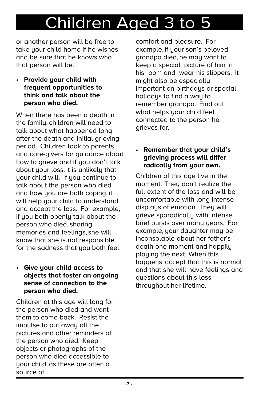or another person will be free to take your child home if he wishes and be sure that he knows who that person will be.

• **Provide your child with frequent opportunities to think and talk about the person who died.**

When there has been a death in the family, children will need to talk about what happened long after the death and initial grieving period. Children look to parents and care-givers for guidance about how to grieve and if you don't talk about your loss, it is unlikely that your child will. If you continue to talk about the person who died and how you are both coping, it will help your child to understand and accept the loss. For example, if you both openly talk about the person who died, sharing memories and feelings, she will know that she is not responsible for the sadness that you both feel.

#### • **Give your child access to objects that foster an ongoing sense of connection to the person who died.**

Children at this age will long for the person who died and want them to come back. Resist the impulse to put away all the pictures and other reminders of the person who died. Keep objects or photographs of the person who died accessible to your child, as these are often a source of

comfort and pleasure. For example, if your son's beloved grandpa died, he may want to keep a special picture of him in his room and wear his slippers. It might also be especially important on birthdays or special holidays to find a way to remember grandpa. Find out what helps your child feel connected to the person he grieves for.

#### • **Remember that your child's grieving process will differ radically from your own.**

Children of this age live in the moment. They don't realize the full extent of the loss and will be uncomfortable with long intense displays of emotion. They will grieve sporadically with intense brief bursts over many years. For example, your daughter may be inconsolable about her father's death one moment and happily playing the next. When this happens, accept that this is normal and that she will have feelings and questions about this loss throughout her lifetime.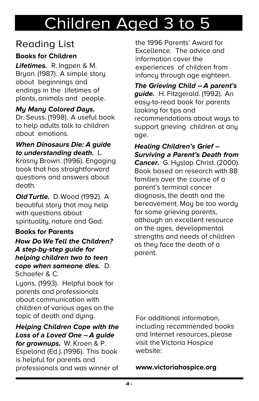### **Reading List**

#### **Books for Children**

**Lifetimes.** R. Ingpen & M. Bryan. (1987). A simple story about beginnings and endings in the lifetimes of plants, animals and people.

#### **My Many Colored Days.**

Dr. Seuss. (1998). A useful book to help adults talk to children about emotions.

#### **When Dinosaurs Die: A guide to understanding death.** L.

Krasny Brown. (1996). Engaging book that has straightforward questions and answers about death.

**Old Turtle.** D. Wood (1992). A beautiful story that may help with questions about spirituality, nature and God.

#### **Books for Parents**

**How Do We Tell the Children? A step-by-step guide for helping children two to teen cope when someone dies.** D. Schaefer & C.

Lyons. (1993). Helpful book for parents and professionals about communication with children of various ages on the topic of death and dying.

#### **Helping Children Cope with the Loss of a Loved One – A guide**

**for grownups.** W. Kroen & P. Espeland (Ed.). (1996). This book is helpful for parents and professionals and was winner of the 1996 Parents' Award for Excellence. The advice and information cover the experiences of children from infancy through age eighteen.

**The Grieving Child – A parent's guide.** H. Fitzgerald. (1992). An easy-to-read book for parents looking for tips and recommendations about ways to support grieving children at any age.

**Healing Children's Grief – Surviving a Parent's Death from Cancer.** G. Hyslop Christ. (2000). Book based on research with 88 families over the course of a parent's terminal cancer diagnosis, the death and the bereavement. May be too wordy for some grieving parents, although an excellent resource on the ages, developmental strengths and needs of children as they face the death of a parent.

For additional information, including recommended books and Internet resources, please visit the Victoria Hospice website:

**www.victoriahospice.org**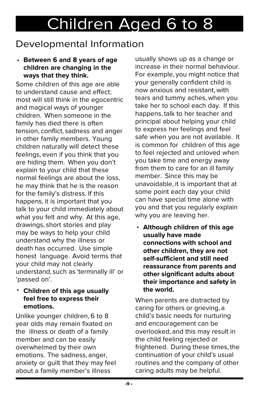### Developmental Information

#### • **Between 6 and 8 years of age children are changing in the ways that they think.**

Some children of this age are able to understand cause and effect; most will still think in the egocentric and magical ways of younger children. When someone in the family has died there is often tension, conflict, sadness and anger in other family members. Young children naturally will detect these feelings, even if you think that you are hiding them. When you don't explain to your child that these normal feelings are about the loss, he may think that he is the reason for the family's distress. If this happens, it is important that you talk to your child immediately about what you felt and why. At this age, drawings, short stories and play may be ways to help your child understand why the illness or death has occurred. Use simple honest language. Avoid terms that your child may not clearly understand, such as 'terminally ill' or 'passed on'.

#### • **Children of this age usually feel free to express their emotions.**

Unlike younger children, 6 to 8 year olds may remain fixated on the illness or death of a family member and can be easily overwhelmed by their own emotions. The sadness, anger, anxiety or guilt that they may feel about a family member's illness

usually shows up as a change or increase in their normal behaviour. For example, you might notice that your generally confident child is now anxious and resistant, with tears and tummy aches, when you take her to school each day. If this happens, talk to her teacher and principal about helping your child to express her feelings and feel safe when you are not available. It is common for children of this age to feel rejected and unloved when you take time and energy away from them to care for an ill family member. Since this may be unavoidable, it is important that at some point each day your child can have special time alone with you and that you regularly explain why you are leaving her.

• **Although children of this age usually have made connections with school and other children, they are not self-sufficient and still need reassurance from parents and other significant adults about their importance and safety in the world.**

When parents are distracted by caring for others or grieving, a child's basic needs for nurturing and encouragement can be overlooked, and this may result in the child feeling rejected or frightened. During these times, the continuation of your child's usual routines and the company of other caring adults may be helpful.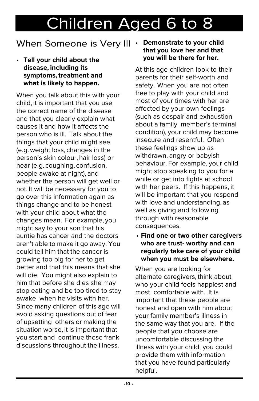### When Someone is Very Ill

• **Tell your child about the disease, including its symptoms, treatment and what is likely to happen.**

When you talk about this with your child, it is important that you use the correct name of the disease and that you clearly explain what causes it and how it affects the person who is ill. Talk about the things that your child might see (e.g. weight loss, changes in the person's skin colour, hair loss) or hear (e.g. coughing, confusion, people awake at night), and whether the person will get well or not. It will be necessary for you to go over this information again as things change and to be honest with your child about what the changes mean. For example, you might say to your son that his auntie has cancer and the doctors aren't able to make it go away. You could tell him that the cancer is growing too big for her to get better and that this means that she will die. You might also explain to him that before she dies she may stop eating and be too tired to stay awake when he visits with her. Since many children of this age will avoid asking questions out of fear of upsetting others or making the situation worse, it is important that you start and continue these frank discussions throughout the illness.

#### • **Demonstrate to your child that you love her and that you will be there for her.**

At this age children look to their parents for their self-worth and safety. When you are not often free to play with your child and most of your times with her are affected by your own feelings (such as despair and exhaustion about a family member's terminal condition), your child may become insecure and resentful. Often these feelings show up as withdrawn, angry or babyish behaviour. For example, your child might stop speaking to you for a while or get into fights at school with her peers. If this happens, it will be important that you respond with love and understanding, as well as giving and following through with reasonable consequences.

• **Find one or two other caregivers who are trust- worthy and can regularly take care of your child when you must be elsewhere.** 

When you are looking for alternate caregivers, think about who your child feels happiest and most comfortable with. It is important that these people are honest and open with him about your family member's illness in the same way that you are. If the people that you choose are uncomfortable discussing the illness with your child, you could provide them with information that you have found particularly helpful.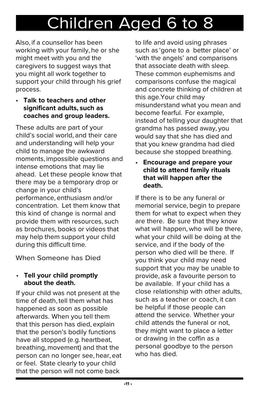Also, if a counsellor has been working with your family, he or she might meet with you and the caregivers to suggest ways that you might all work together to support your child through his grief process.

• **Talk to teachers and other significant adults, such as coaches and group leaders.**

These adults are part of your child's social world, and their care and understanding will help your child to manage the awkward moments, impossible questions and intense emotions that may lie ahead. Let these people know that there may be a temporary drop or change in your child's performance, enthusiasm and/or concentration. Let them know that this kind of change is normal and provide them with resources, such as brochures, books or videos that may help them support your child during this difficult time.

When Someone has Died

#### • **Tell your child promptly about the death.**

If your child was not present at the time of death, tell them what has happened as soon as possible afterwards. When you tell them that this person has died, explain that the person's bodily functions have all stopped (e.g. heartbeat, breathing, movement) and that the person can no longer see, hear, eat or feel. State clearly to your child that the person will not come back

to life and avoid using phrases such as 'gone to a better place' or 'with the angels' and comparisons that associate death with sleep. These common euphemisms and comparisons confuse the magical and concrete thinking of children at this age. Your child may misunderstand what you mean and become fearful. For example, instead of telling your daughter that grandma has passed away, you would say that she has died and that you knew grandma had died because she stopped breathing.

• **Encourage and prepare your child to attend family rituals that will happen after the death.**

If there is to be any funeral or memorial service, begin to prepare them for what to expect when they are there. Be sure that they know what will happen, who will be there, what your child will be doing at the service, and if the body of the person who died will be there. If you think your child may need support that you may be unable to provide, ask a favourite person to be available. If your child has a close relationship with other adults, such as a teacher or coach, it can be helpful if those people can attend the service. Whether your child attends the funeral or not, they might want to place a letter or drawing in the coffin as a personal goodbye to the person who has died.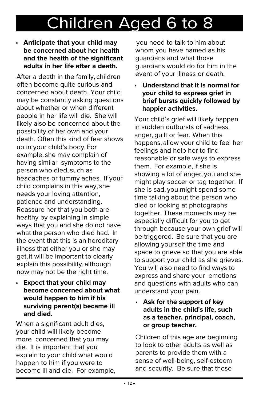#### • **Anticipate that your child may be concerned about her health and the health of the significant adults in her life after a death.**

After a death in the family, children often become quite curious and concerned about death. Your child may be constantly asking questions about whether or when different people in her life will die. She will likely also be concerned about the possibility of her own and your death. Often this kind of fear shows up in your child's body. For example, she may complain of having similar symptoms to the person who died, such as headaches or tummy aches. If your child complains in this way, she needs your loving attention, patience and understanding. Reassure her that you both are healthy by explaining in simple ways that you and she do not have what the person who died had. In the event that this is an hereditary illness that either you or she may get, it will be important to clearly explain this possibility, although now may not be the right time.

• **Expect that your child may become concerned about what would happen to him if his surviving parent(s) became ill and died.**

When a significant adult dies, your child will likely become more concerned that you may die. It is important that you explain to your child what would happen to him if you were to become ill and die. For example,

you need to talk to him about whom you have named as his guardians and what those guardians would do for him in the event of your illness or death.

• **Understand that it is normal for your child to express grief in brief bursts quickly followed by happier activities.**

Your child's grief will likely happen in sudden outbursts of sadness, anger, guilt or fear. When this happens, allow your child to feel her feelings and help her to find reasonable or safe ways to express them. For example, if she is showing a lot of anger, you and she might play soccer or tag together. If she is sad, you might spend some time talking about the person who died or looking at photographs together. These moments may be especially difficult for you to get through because your own grief will be triggered. Be sure that you are allowing yourself the time and space to grieve so that you are able to support your child as she grieves. You will also need to find ways to express and share your emotions and questions with adults who can understand your pain.

• **Ask for the support of key adults in the child's life, such as a teacher, principal, coach, or group teacher.**

Children of this age are beginning to look to other adults as well as parents to provide them with a sense of well-being, self-esteem and security. Be sure that these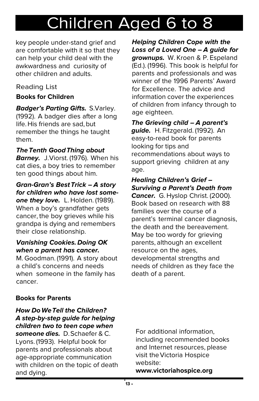key people under-stand grief and are comfortable with it so that they can help your child deal with the awkwardness and curiosity of other children and adults.

#### **Reading List**

#### **Books for Children**

**Badger's Parting Gifts. S. Varley.** (1992). A badger dies after a long life. His friends are sad, but remember the things he taught them.

#### **The Tenth Good Thing about**

**Barney.** J. Viorst. (1976). When his cat dies, a boy tries to remember ten good things about him.

#### **Gran-Gran's Best Trick – A story for children who have lost some-**

**one they love.** L. Holden. (1989). When a boy's grandfather gets cancer, the boy grieves while his grandpa is dying and remembers their close relationship.

#### **Vanishing Cookies. Doing OK when a parent has cancer.**

M. Goodman. (1991). A story about a child's concerns and needs when someone in the family has cancer.

**Helping Children Cope with the Loss of a Loved One – A guide for grownups.** W. Kroen & P. Espeland (Ed.). (1996). This book is helpful for parents and professionals and was winner of the 1996 Parents' Award for Excellence. The advice and information cover the experiences of children from infancy through to age eighteen.

#### **The Grieving child – A parent's guide.** H. Fitzgerald. (1992). An easy-to-read book for parents looking for tips and recommendations about ways to

support grieving children at any age.

#### **Healing Children's Grief – Surviving a Parent's Death from**

**Cancer.** G. Hyslop Christ. (2000). Book based on research with 88 families over the course of a parent's terminal cancer diagnosis, the death and the bereavement. May be too wordy for grieving parents, although an excellent resource on the ages, developmental strengths and needs of children as they face the death of a parent.

#### **Books for Parents**

#### **How Do We Tell the Children? A step-by-step guide for helping children two to teen cope when**

**someone dies.** D. Schaefer & C. Lyons. (1993). Helpful book for parents and professionals about age-appropriate communication with children on the topic of death and dying.

For additional information, including recommended books and Internet resources, please visit the Victoria Hospice website:

**www.victoriahospice.org**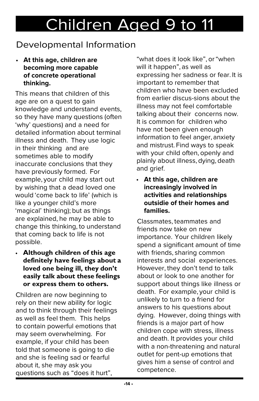### Developmental Information

• **At this age, children are becoming more capable of concrete operational thinking.**

This means that children of this age are on a quest to gain knowledge and understand events, so they have many questions (often 'why' questions) and a need for detailed information about terminal illness and death. They use logic in their thinking and are sometimes able to modify inaccurate conclusions that they have previously formed. For example, your child may start out by wishing that a dead loved one would 'come back to life' (which is like a younger child's more 'magical' thinking); but as things are explained, he may be able to change this thinking, to understand that coming back to life is not possible.

• **although children of this age definitely have feelings about a loved one being ill, they don't easily talk about these feelings or express them to others.**

Children are now beginning to rely on their new ability for logic and to think through their feelings as well as feel them. This helps to contain powerful emotions that may seem overwhelming. For example, if your child has been told that someone is going to die and she is feeling sad or fearful about it, she may ask you questions such as "does it hurt",

"what does it look like", or "when will it happen", as well as expressing her sadness or fear. It is important to remember that children who have been excluded from earlier discus-sions about the illness may not feel comfortable talking about their concerns now. It is common for children who have not been given enough information to feel anger, anxiety and mistrust. Find ways to speak with your child often, openly and plainly about illness, dying, death and grief.

• **At this age, children are increasingly involved in activities and relationships outsidie of their homes and families.**

Classmates, teammates and friends now take on new importance. Your children likely spend a significant amount of time with friends, sharing common interests and social experiences. However, they don't tend to talk about or look to one another for support about things like illness or death. For example, your child is unlikely to turn to a friend for answers to his questions about dying. However, doing things with friends is a major part of how children cope with stress, illness and death. It provides your child with a non-threatening and natural outlet for pent-up emotions that gives him a sense of control and competence.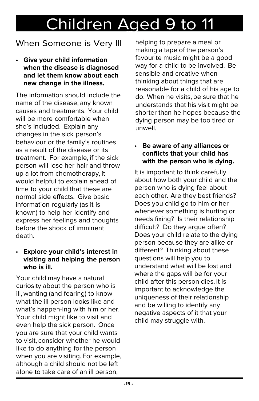### When Someone is Very Ill

• **Give your child information when the disease is diagnosed and let them know about each new change in the illness.**

The information should include the name of the disease, any known causes and treatments. Your child will be more comfortable when she's included. Explain any changes in the sick person's behaviour or the family's routines as a result of the disease or its treatment. For example, if the sick person will lose her hair and throw up a lot from chemotherapy, it would helpful to explain ahead of time to your child that these are normal side effects. Give basic information regularly (as it is known) to help her identify and express her feelings and thoughts before the shock of imminent death.

#### • **Explore your child's interest in visiting and helping the person who is ill.**

Your child may have a natural curiosity about the person who is ill, wanting (and fearing) to know what the ill person looks like and what's happen-ing with him or her. Your child might like to visit and even help the sick person. Once you are sure that your child wants to visit, consider whether he would like to do anything for the person when you are visiting. For example, although a child should not be left alone to take care of an ill person,

helping to prepare a meal or making a tape of the person's favourite music might be a good way for a child to be involved. Be sensible and creative when thinking about things that are reasonable for a child of his age to do. When he visits, be sure that he understands that his visit might be shorter than he hopes because the dying person may be too tired or unwell.

#### • **Be aware of any alliances or conflicts that your child has with the person who is dying.**

It is important to think carefully about how both your child and the person who is dying feel about each other. Are they best friends? Does you child go to him or her whenever something is hurting or needs fixing? Is their relationship difficult? Do they argue often? Does your child relate to the dying person because they are alike or different? Thinking about these questions will help you to understand what will be lost and where the gaps will be for your child after this person dies. It is important to acknowledge the uniqueness of their relationship and be willing to identify any negative aspects of it that your child may struggle with.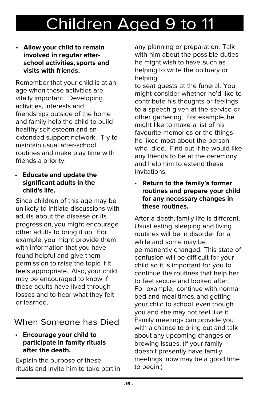#### • **Allow your child to remain involved in regutar afterschool activities, sports and visits with friends.**

Remember that your child is at an age when these activities are vitally important. Developing activities, interests and friendships outside of the home and family help the child to build healthy self-esteem and an extended support network. Try to maintain usual after-school routines and make play time with friends a priority.

#### • **Educate and update the significant adults in the child's life.**

Since children of this age may be unlikely to initiate discussions with adults about the disease or its progression, you might encourage other adults to bring it up. For example, you might provide them with information that you have found helpful and give them permission to raise the topic if it feels appropriate. Also, your child may be encouraged to know if these adults have lived through losses and to hear what they felt or learned.

### When Someone has Died

• **Encourage your child to participate in famity rituals after the death.**

Explain the purpose of these rituals and invite him to take part in any planning or preparation. Talk with him about the possible duties he might wish to have, such as helping to write the obituary or helping

to seat guests at the funeral. You might consider whether he'd like to contribute his thoughts or feelings to a speech given at the service or other gathering. For example, he might like to make a list of his favourite memories or the things he liked most about the person who died. Find out if he would like any friends to be at the ceremony and help him to extend these invitations.

• **Return to the family's former routines and prepare your child for any necessary changes in these routines.**

After a death, family life is different. Usual eating, sleeping and living routines will be in disorder for a while and some may be permanently changed. This state of confusion will be difficult for your child so it is important for you to continue the routines that help her to feel secure and looked after. For example, continue with normal bed and meal times, and getting your child to school, even though you and she may not feel like it. Family meetings can provide you with a chance to bring out and talk about any upcoming changes or brewing issues. (If your family doesn't presently have family meetings, now may be a good time to begin.)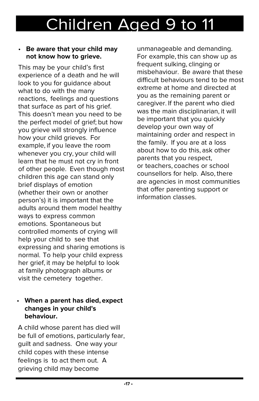#### • **Be aware that your child may not know how to grieve.**

This may be your child's first experience of a death and he will look to you for guidance about what to do with the many reactions, feelings and questions that surface as part of his grief. This doesn't mean you need to be the perfect model of grief; but how you grieve will strongly influence how your child grieves. For example, if you leave the room whenever you cry, your child will learn that he must not cry in front of other people. Even though most children this age can stand only brief displays of emotion (whether their own or another person's) it is important that the adults around them model healthy ways to express common emotions. Spontaneous but controlled moments of crying will help your child to see that expressing and sharing emotions is normal. To help your child express her grief, it may be helpful to look at family photograph albums or visit the cemetery together.

#### • **When a parent has died, expect changes in your child's behaviour.**

A child whose parent has died will be full of emotions, particularly fear, guilt and sadness. One way your child copes with these intense feelings is to act them out. A grieving child may become

unmanageable and demanding. For example, this can show up as frequent sulking, clinging or misbehaviour. Be aware that these difficult behaviours tend to be most extreme at home and directed at you as the remaining parent or caregiver. If the parent who died was the main disciplinarian, it will be important that you quickly develop your own way of maintaining order and respect in the family. If you are at a loss about how to do this, ask other parents that you respect, or teachers, coaches or school counsellors for help. Also, there are agencies in most communities that offer parenting support or information classes.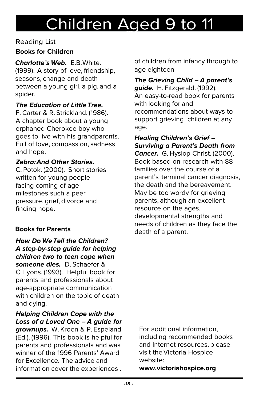#### Reading List

#### **Books for Children**

**Charlotte's Web.** F.B. White. (1999). A story of love, friendship, seasons, change and death between a young girl, a pig, and a spider.

#### **The Education of Little Tree.**

F. Carter & R. Strickland. (1986). A chapter book about a young orphaned Cherokee boy who goes to live with his grandparents. Full of love, compassion, sadness and hope.

#### **Zebra: And Other Stories.**

C. Potok. (2000). Short stories written for young people facing coming of age milestones such a peer pressure, grief, divorce and finding hope.

#### **Books for Parents**

#### **How Do We Tell the Children? A step-by-step guide for helping children two to teen cope when**

**someone dies.** D. Schaefer & C. Lyons. (1993). Helpful book for parents and professionals about age-appropriate communication with children on the topic of death and dying.

**Helping Children Cope with the Loss of a Loved One – A guide for** 

**grownups.** W. Kroen & P. Espeland (Ed.). (1996). This book is helpful for parents and professionals and was winner of the 1996 Parents' Award for Excellence. The advice and information cover the experiences .

of children from infancy through to age eighteen

#### **The Grieving Child – A parent's guide.** H. Fitzgerald. (1992). An easy-to-read book for parents with looking for and recommendations about ways to support grieving children at any age.

**Healing Children's Grief – Surviving a Parent's Death from** 

**Cancer.** G. Hyslop Christ. (2000). Book based on research with 88 families over the course of a parent's terminal cancer diagnosis, the death and the bereavement. May be too wordy for grieving parents, although an excellent resource on the ages, developmental strengths and needs of children as they face the death of a parent.

For additional information, including recommended books and Internet resources, please visit the Victoria Hospice website:

**www.victoriahospice.org**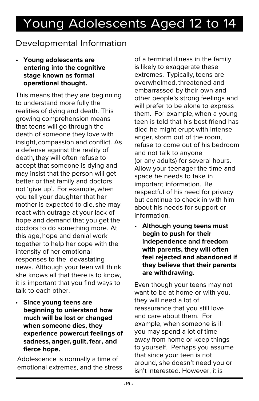### Developmental Information

• **Young adolescents are entering into the cognitive stage known as formal operational thought.**

This means that they are beginning to understand more fully the realities of dying and death. This growing comprehension means that teens will go through the death of someone they love with insight, compassion and conflict. As a defense against the reality of death, they will often refuse to accept that someone is dying and may insist that the person will get better or that family and doctors not 'give up'. For example, when you tell your daughter that her mother is expected to die, she may react with outrage at your lack of hope and demand that you get the doctors to do something more. At this age, hope and denial work together to help her cope with the intensity of her emotional responses to the devastating news. Although your teen will think she knows all that there is to know, it is important that you find ways to talk to each other.

• **Since young teens are beginning to unierstand how much will be lost or changed when someone dies, they experience powercut feelings of sadness, anger, guilt, fear, and fierce hope.**

Adolescence is normally a time of emotional extremes, and the stress of a terminal illness in the family is likely to exaggerate these extremes. Typically, teens are overwhelmed, threatened and embarrassed by their own and other people's strong feelings and will prefer to be alone to express them. For example, when a young teen is told that his best friend has died he might erupt with intense anger, storm out of the room, refuse to come out of his bedroom and not talk to anyone (or any adults) for several hours. Allow your teenager the time and space he needs to take in important information. Be respectful of his need for privacy but continue to check in with him about his needs for support or information.

• **Although young teens must begin to push for their independence and freedom with parents, they will often feel rejected and abandoned if they believe that their parents are withdrawing.**

Even though your teens may not want to be at home or with you, they will need a lot of reassurance that you still love and care about them. For example, when someone is ill you may spend a lot of time away from home or keep things to yourself. Perhaps you assume that since your teen is not around, she doesn't need you or isn't interested. However, it is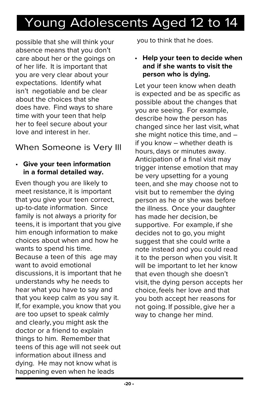possible that she will think your absence means that you don't care about her or the goings on of her life. It is important that you are very clear about your expectations. Identify what isn't negotiable and be clear about the choices that she does have. Find ways to share time with your teen that help her to feel secure about your love and interest in her.

### When Someone is Very Ill

#### • **Give your teen information in a formal detailed way.**

Even though you are likely to meet resistance, it is important that you give your teen correct, up-to-date information. Since family is not always a priority for teens, it is important that you give him enough information to make choices about when and how he wants to spend his time. Because a teen of this age may want to avoid emotional discussions, it is important that he understands why he needs to hear what you have to say and that you keep calm as you say it. If, for example, you know that you are too upset to speak calmly and clearly, you might ask the doctor or a friend to explain things to him. Remember that teens of this age will not seek out information about illness and dying. He may not know what is happening even when he leads

you to think that he does.

• **Help your teen to decide when and if she wants to visit the person who is dying.**

Let your teen know when death is expected and be as specific as possible about the changes that you are seeing. For example, describe how the person has changed since her last visit, what she might notice this time, and – if you know – whether death is hours, days or minutes away. Anticipation of a final visit may trigger intense emotion that may be very upsetting for a young teen, and she may choose not to visit but to remember the dying person as he or she was before the illness. Once your daughter has made her decision, be supportive. For example, if she decides not to go, you might suggest that she could write a note instead and you could read it to the person when you visit. It will be important to let her know that even though she doesn't visit, the dying person accepts her choice, feels her love and that you both accept her reasons for not going. If possible, give her a way to change her mind.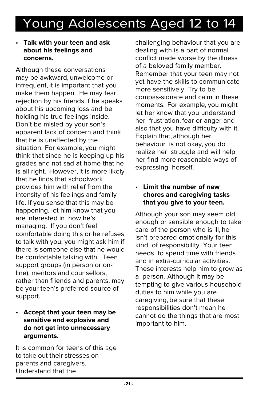#### • **Talk with your teen and ask about his feelings and concerns.**

Although these conversations may be awkward, unwelcome or infrequent, it is important that you make them happen. He may fear rejection by his friends if he speaks about his upcoming loss and be holding his true feelings inside. Don't be misled by your son's apparent lack of concern and think that he is unaffected by the situation. For example, you might think that since he is keeping up his grades and not sad at home that he is all right. However, it is more likely that he finds that schoolwork provides him with relief from the intensity of his feelings and family life. If you sense that this may be happening, let him know that you are interested in how he's managing. If you don't feel comfortable doing this or he refuses to talk with you, you might ask him if there is someone else that he would be comfortable talking with. Teen support groups (in person or online), mentors and counsellors, rather than friends and parents, may be your teen's preferred source of support.

#### • **Accept that your teen may be sensitive and explosive and do not get into unnecessary arguments.**

It is common for teens of this age to take out their stresses on parents and caregivers. Understand that the

challenging behaviour that you are dealing with is a part of normal conflict made worse by the illness of a beloved family member. Remember that your teen may not yet have the skills to communicate more sensitively. Try to be compas-sionate and calm in these moments. For example, you might let her know that you understand her frustration, fear or anger and also that you have difficulty with it. Explain that, although her behaviour is not okay, you do realize her struggle and will help her find more reasonable ways of expressing herself.

#### • **Limit the number of new chores and caregiving tasks that you give to your teen.**

Although your son may seem old enough or sensible enough to take care of the person who is ill, he isn't prepared emotionally for this kind of responsibility. Your teen needs to spend time with friends and in extra-curricular activities. These interests help him to grow as a person. Although it may be tempting to give various household duties to him while you are caregiving, be sure that these responsibilities don't mean he cannot do the things that are most important to him.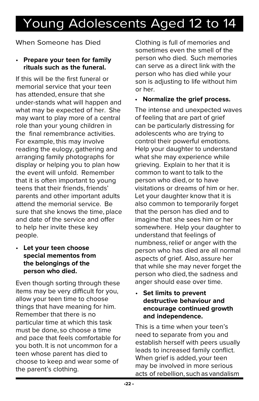## Young Adolescents Aged 12 to 14 Young Adolescents Aged 12 to 14

When Someone has Died

#### • **Prepare your teen for family rituals such as the funeral.**

If this will be the first funeral or memorial service that your teen has attended, ensure that she under-stands what will happen and what may be expected of her. She may want to play more of a central role than your young children in the final remembrance activities. For example, this may involve reading the eulogy, gathering and arranging family photographs for display or helping you to plan how the event will unfold. Remember that it is often important to young teens that their friends, friends' parents and other important adults attend the memorial service. Be sure that she knows the time, place and date of the service and offer to help her invite these key people.

• **Let your teen choose special mementos from the belongings of the person who died.**

Even though sorting through these items may be very difficult for you, allow your teen time to choose things that have meaning for him. Remember that there is no particular time at which this task must be done, so choose a time and pace that feels comfortable for you both. It is not uncommon for a teen whose parent has died to choose to keep and wear some of the parent's clothing.

Clothing is full of memories and sometimes even the smell of the person who died. Such memories can serve as a direct link with the person who has died while your son is adjusting to life without him or her.

• **Normalize the grief process.**

The intense and unexpected waves of feeling that are part of grief can be particularly distressing for adolescents who are trying to control their powerful emotions. Help your daughter to understand what she may experience while grieving. Explain to her that it is common to want to talk to the person who died, or to have visitations or dreams of him or her. Let your daughter know that it is also common to temporarily forget that the person has died and to imagine that she sees him or her somewhere. Help your daughter to understand that feelings of numbness, relief or anger with the person who has died are all normal aspects of grief. Also, assure her that while she may never forget the person who died, the sadness and anger should ease over time.

#### • **Set limits to prevent destructive behaviour and encourage continued growth and independence.**

This is a time when your teen's need to separate from you and establish herself with peers usually leads to increased family conflict. When grief is added, your teen may be involved in more serious acts of rebellion, such as vandalism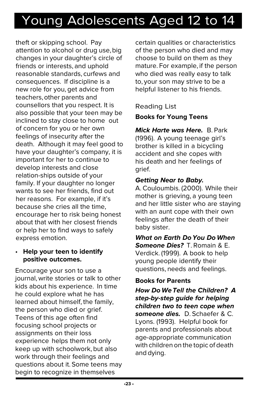theft or skipping school. Pay attention to alcohol or drug use, big changes in your daughter's circle of friends or interests, and uphold reasonable standards, curfews and consequences. If discipline is a new role for you, get advice from teachers, other parents and counsellors that you respect. It is also possible that your teen may be inclined to stay close to home out of concern for you or her own feelings of insecurity after the death. Although it may feel good to have your daughter's company, it is important for her to continue to develop interests and close relation-ships outside of your family. If your daughter no longer wants to see her friends, find out her reasons. For example, if it's because she cries all the time, encourage her to risk being honest about that with her closest friends or help her to find ways to safely express emotion.

#### • **Help your teen to identify positive outcomes.**

Encourage your son to use a journal, write stories or talk to other kids about his experience. In time he could explore what he has learned about himself, the family, the person who died or grief. Teens of this age often find focusing school projects or assignments on their loss experience helps them not only keep up with schoolwork, but also work through their feelings and questions about it. Some teens may begin to recognize in themselves

certain qualities or characteristics of the person who died and may choose to build on them as they mature. For example, if the person who died was really easy to talk to, your son may strive to be a helpful listener to his friends.

#### Reading List

#### **Books for Young Teens**

**Mick Harte was Here.** B. Park (1996). A young teenage girl's brother is killed in a bicycling accident and she copes with his death and her feelings of grief.

#### **Getting Near to Baby.**

A. Couloumbis. (2000). While their mother is grieving, a young teen and her little sister who are staying with an aunt cope with their own feelings after the death of their baby sister.

**What on Earth Do You Do When Someone Dies?** T. Romain & E. Verdick. (1999). A book to help young people identify their questions, needs and feelings.

#### **Books for Parents**

**How Do We Tell the Children? A step-by-step guide for helping children two to teen cope when someone dies.** D. Schaefer & C. Lyons. (1993). Helpful book for parents and professionals about age-appropriate communication with children on the topic of death and dying.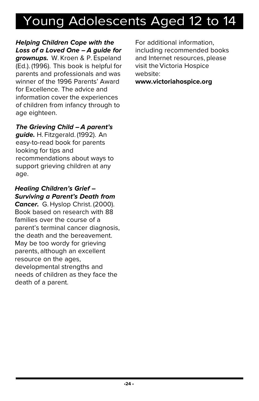**Helping Children Cope with the Loss of a Loved One – A guide for grownups.** W. Kroen & P. Espeland (Ed.). (1996). This book is helpful for parents and professionals and was winner of the 1996 Parents' Award for Excellence. The advice and information cover the experiences of children from infancy through to age eighteen.

#### **The Grieving Child – A parent's**

**guide.** H. Fitzgerald. (1992). An easy-to-read book for parents looking for tips and recommendations about ways to support grieving children at any age.

#### **Healing Children's Grief – Surviving a Parent's Death from**

**Cancer.** G. Hyslop Christ. (2000). Book based on research with 88 families over the course of a parent's terminal cancer diagnosis, the death and the bereavement. May be too wordy for grieving parents, although an excellent resource on the ages, developmental strengths and needs of children as they face the death of a parent.

For additional information, including recommended books and Internet resources, please visit the Victoria Hospice website:

**www.victoriahospice.org**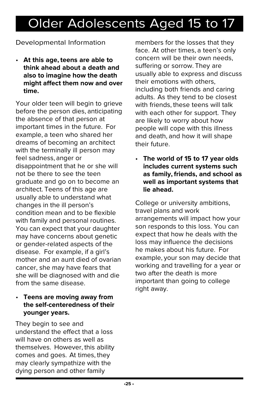### Older Adolescents Aged 15 to 17

#### Developmental Information

• **At this age, teens are able to think ahead about a death and also to imagine how the death might affect them now and over time.**

Your older teen will begin to grieve before the person dies, anticipating the absence of that person at important times in the future. For example, a teen who shared her dreams of becoming an architect with the terminally ill person may feel sadness, anger or disappointment that he or she will not be there to see the teen graduate and go on to become an architect. Teens of this age are usually able to understand what changes in the ill person's condition mean and to be flexible with family and personal routines. You can expect that your daughter may have concerns about genetic or gender-related aspects of the disease. For example, if a girl's mother and an aunt died of ovarian cancer, she may have fears that she will be diagnosed with and die from the same disease.

#### • **Teens are moving away from the self-centeredness of their younger years.**

They begin to see and understand the effect that a loss will have on others as well as themselves. However, this ability comes and goes. At times, they may clearly sympathize with the dying person and other family

members for the losses that they face. At other times, a teen's only concern will be their own needs, suffering or sorrow. They are usually able to express and discuss their emotions with others, including both friends and caring adults. As they tend to be closest with friends, these teens will talk with each other for support. They are likely to worry about how people will cope with this illness and death, and how it will shape their future.

• **The world of 15 to 17 year olds includes current systems such as family, friends, and school as well as important systems that lie ahead.**

College or university ambitions, travel plans and work arrangements will impact how your son responds to this loss. You can expect that how he deals with the loss may influence the decisions he makes about his future. For example, your son may decide that working and travelling for a year or two after the death is more important than going to college right away.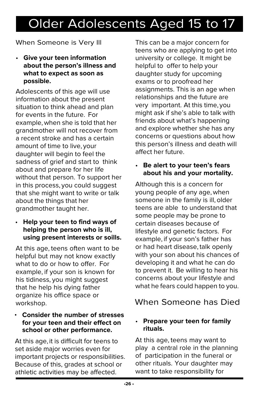### Older Adolescents Aged 15 to 17

#### When Someone is Very Ill

• **Give your teen information about the person's illness and what to expect as soon as possible.**

Adolescents of this age will use information about the present situation to think ahead and plan for events in the future. For example, when she is told that her grandmother will not recover from a recent stroke and has a certain amount of time to live, your daughter will begin to feel the sadness of grief and start to think about and prepare for her life without that person. To support her in this process, you could suggest that she might want to write or talk about the things that her grandmother taught her.

• **Help your teen to find ways of helping the person who is ill, using present interests or soills.**

At this age, teens often want to be helpful but may not know exactly what to do or how to offer. For example, if your son is known for his tidiness, you might suggest that he help his dying father organize his office space or workshop.

#### • **Consider the number of stresses for your teen and their effect on school or other performance.**

At this age, it is difficult for teens to set aside major worries even for important projects or responsibilities. Because of this, grades at school or athletic activities may be affected.

This can be a major concern for teens who are applying to get into university or college. It might be helpful to offer to help your daughter study for upcoming exams or to proofread her assignments. This is an age when relationships and the future are very important. At this time, you might ask if she's able to talk with friends about what's happening and explore whether she has any concerns or questions about how this person's illness and death will affect her future.

#### • **Be alert to your teen's fears about his and your mortality.**

Although this is a concern for young people of any age, when someone in the family is ill, older teens are able to understand that some people may be prone to certain diseases because of lifestyle and genetic factors. For example, if your son's father has or had heart disease, talk openly with your son about his chances of developing it and what he can do to prevent it. Be willing to hear his concerns about your lifestyle and what he fears could happen to you.

### When Someone has Died

#### • **Prepare your teen for family rituals.**

At this age, teens may want to play a central role in the planning of participation in the funeral or other rituals. Your daughter may want to take responsibility for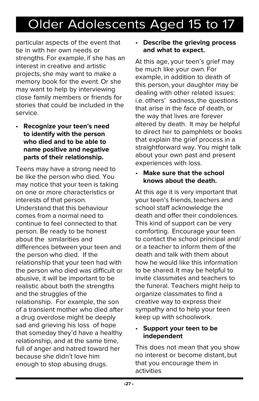## Older Adolescents Aged 15 to 17 Older Adolescents Aged 15 to 17

particular aspects of the event that tie in with her own needs or strengths. For example, if she has an interest in creative and artistic projects, she may want to make a memory book for the event. Or she may want to help by interviewing close family members or friends for stories that could be included in the service.

• **Recognize your teen's need to identify with the person who died and to be able to name positive and negative parts of their relationship.**

Teens may have a strong need to be like the person who died. You may notice that your teen is taking on one or more characteristics or interests of that person. Understand that this behaviour comes from a normal need to continue to feel connected to that person. Be ready to be honest about the similarities and differences between your teen and the person who died. If the relationship that your teen had with the person who died was difficult or abusive, it will be important to be realistic about both the strengths and the struggles of the relationship. For example, the son of a transient mother who died after a drug overdose might be deeply sad and grieving his loss of hope that someday they'd have a healthy relationship, and at the same time, full of anger and hatred toward her because she didn't love him enough to stop abusing drugs.

#### • **Describe the grieving process and what to expect.**

At this age, your teen's grief may be much like your own. For example, in addition to death of this person, your daughter may be dealing with other related issues: i.e. others' sadness, the questions that arise in the face of death, or the way that lives are forever altered by death. It may be helpful to direct her to pamphlets or books that explain the grief process in a straightforward way. You might talk about your own past and present experiences with loss.

#### • **Make sure that the school knows about the death.**

At this age it is very important that your teen's friends, teachers and school staff acknowledge the death and offer their condolences. This kind of support can be very comforting. Encourage your teen to contact the school principal and/ or a teacher to inform them of the death and talk with them about how he would like this information to be shared. It may be helpful to invite classmates and teachers to the funeral. Teachers might help to organize classmates to find a creative way to express their sympathy and to help your teen keep up with schoolwork.

#### • **Support your teen to be independent**

This does not mean that you show no interest or become distant, but that you encourage them in activities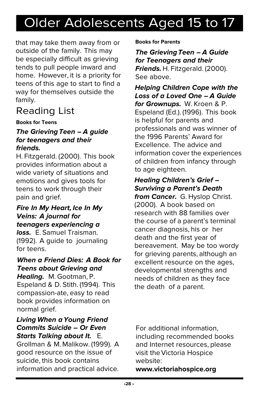## Older Adolescents Aged 15 to 17 Older Adolescents Aged 15 to 17

that may take them away from or outside of the family. This may be especially difficult as grieving tends to pull people inward and home. However, it is a priority for teens of this age to start to find a way for themselves outside the family.

### **Reading List**

#### **Books for Teens**

#### **The Grieving Teen – A guide for teenagers and their friends.**

H. Fitzgerald. (2000). This book provides information about a wide variety of situations and emotions and gives tools for teens to work through their pain and grief.

#### **Fire In My Heart, Ice In My Veins: A journal for teenagers experiencing a**

**loss.** E. Samuel Traisman. (1992). A guide to journaling for teens.

#### **When a Friend Dies: A Book for Teens about Grieving and**

**Healing.** M. Gootman, P. Espeland & D. Stith. (1994). This compassion-ate, easy to read book provides information on normal grief.

#### **Living When a Young Friend Commits Suicide – Or Even Starts Talking about It.** E.

Grollman & M. Malikow. (1999). A good resource on the issue of suicide, this book contains information and practical advice.

**Books for Parents** 

#### **The Grieving Teen – A Guide for Teenagers and their Friends.** H. Fitzgerald. (2000). See above.

**Helping Children Cope with the Loss of a Loved One – A Guide for Grownups.** W. Kroen & P. Espeland (Ed.). (1996). This book is helpful for parents and professionals and was winner of the 1996 Parents' Award for Excellence. The advice and information cover the experiences of children from infancy through to age eighteen.

#### **Healing Children's Grief – Surviving a Parent's Death**

**from Cancer.** G. Hyslop Christ. (2000). A book based on research with 88 families over the course of a parent's terminal cancer diagnosis, his or her death and the first year of bereavement. May be too wordy for grieving parents, although an excellent resource on the ages, developmental strengths and needs of children as they face the death of a parent.

For additional information, including recommended books and Internet resources, please visit the Victoria Hospice website:

**www.victoriahospice.org**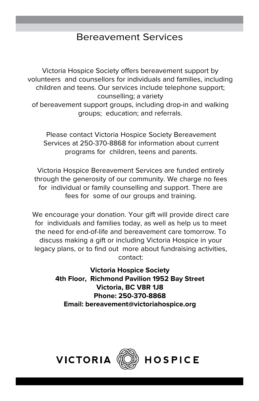### Bereavement Services

Victoria Hospice Society offers bereavement support by volunteers and counsellors for individuals and families, including children and teens. Our services include telephone support; counselling; a variety of bereavement support groups, including drop-in and walking groups; education; and referrals.

Please contact Victoria Hospice Society Bereavement Services at 250-370-8868 for information about current programs for children, teens and parents.

Victoria Hospice Bereavement Services are funded entirely through the generosity of our community. We charge no fees for individual or family counselling and support. There are fees for some of our groups and training.

We encourage your donation. Your gift will provide direct care for individuals and families today, as well as help us to meet the need for end-of-life and bereavement care tomorrow. To discuss making a gift or including Victoria Hospice in your legacy plans, or to find out more about fundraising activities, contact:

> **Victoria Hospice Society 4th Floor, Richmond Pavilion 1952 Bay Street Victoria, BC V8R 1J8 Phone: 250-370-8868 Email: bereavement@victoriahospice.org**